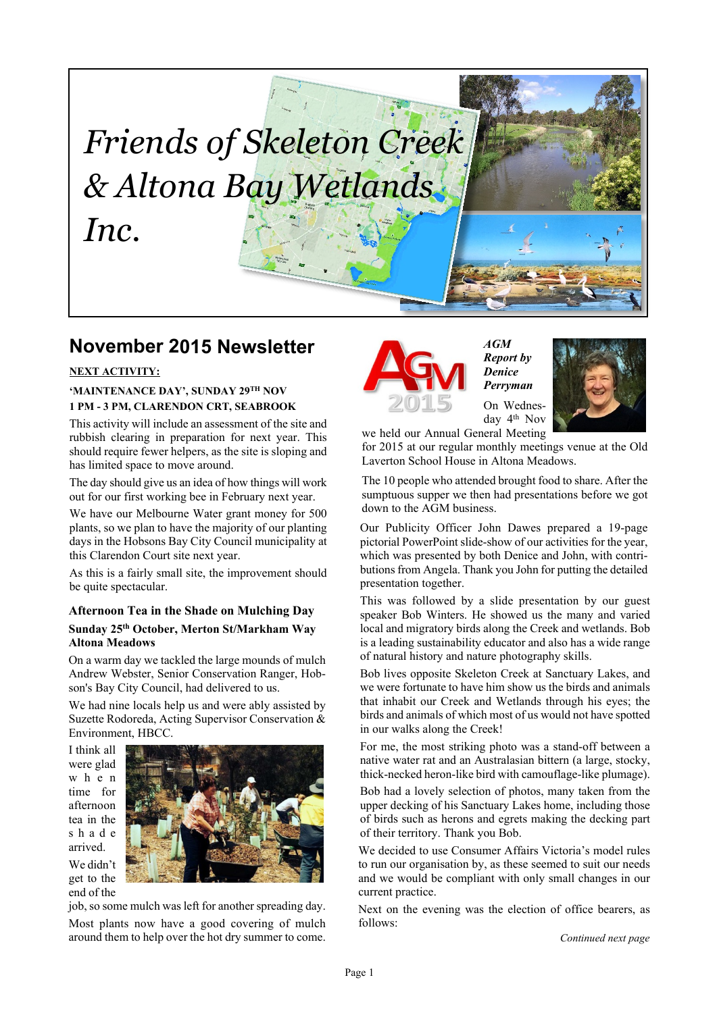# *Friends of Skeleton Creek & Altona Bay Wetlands Inc.*

# **November 2015 Newsletter**

#### **NEXT ACTIVITY:**

#### **'MAINTENANCE DAY', SUNDAY 29TH NOV 1 PM - 3 PM, CLARENDON CRT, SEABROOK**

This activity will include an assessment of the site and rubbish clearing in preparation for next year. This should require fewer helpers, as the site is sloping and has limited space to move around.

The day should give us an idea of how things will work out for our first working bee in February next year.

We have our Melbourne Water grant money for 500 plants, so we plan to have the majority of our planting days in the Hobsons Bay City Council municipality at this Clarendon Court site next year.

As this is a fairly small site, the improvement should be quite spectacular.

#### **Afternoon Tea in the Shade on Mulching Day Sunday 25th October, Merton St/Markham Way Altona Meadows**

On a warm day we tackled the large mounds of mulch Andrew Webster, Senior Conservation Ranger, Hobson's Bay City Council, had delivered to us.

We had nine locals help us and were ably assisted by Suzette Rodoreda, Acting Supervisor Conservation & Environment, HBCC.

I think all were glad w h e n time for afternoon tea in the s h a d e arrived. We didn't get to the end of the



job, so some mulch was left for another spreading day. Most plants now have a good covering of mulch around them to help over the hot dry summer to come.



*AGM Report by Denice Perryman*



we held our Annual General Meeting for 2015 at our regular monthly meetings venue at the Old Laverton School House in Altona Meadows.

The 10 people who attended brought food to share. After the sumptuous supper we then had presentations before we got down to the AGM business.

Our Publicity Officer John Dawes prepared a 19-page pictorial PowerPoint slide-show of our activities for the year, which was presented by both Denice and John, with contributions from Angela. Thank you John for putting the detailed presentation together.

This was followed by a slide presentation by our guest speaker Bob Winters. He showed us the many and varied local and migratory birds along the Creek and wetlands. Bob is a leading sustainability educator and also has a wide range of natural history and nature photography skills.

Bob lives opposite Skeleton Creek at Sanctuary Lakes, and we were fortunate to have him show us the birds and animals that inhabit our Creek and Wetlands through his eyes; the birds and animals of which most of us would not have spotted in our walks along the Creek!

For me, the most striking photo was a stand-off between a native water rat and an Australasian bittern (a large, stocky, thick-necked heron-like bird with camouflage-like plumage).

Bob had a lovely selection of photos, many taken from the upper decking of his Sanctuary Lakes home, including those of birds such as herons and egrets making the decking part of their territory. Thank you Bob.

We decided to use Consumer Affairs Victoria's model rules to run our organisation by, as these seemed to suit our needs and we would be compliant with only small changes in our current practice.

Next on the evening was the election of office bearers, as follows:

*Continued next page*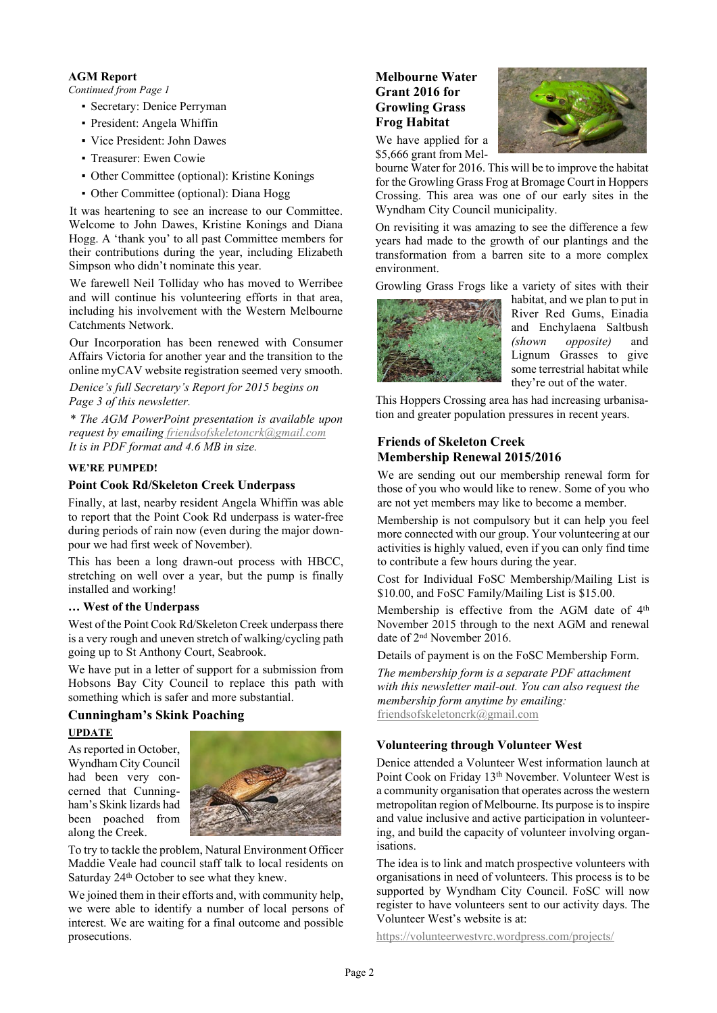#### **AGM Report**

*Continued from Page 1*

- Secretary: Denice Perryman
- President: Angela Whiffin
- Vice President: John Dawes
- Treasurer: Ewen Cowie
- Other Committee (optional): Kristine Konings
- Other Committee (optional): Diana Hogg

It was heartening to see an increase to our Committee. Welcome to John Dawes, Kristine Konings and Diana Hogg. A 'thank you' to all past Committee members for their contributions during the year, including Elizabeth Simpson who didn't nominate this year.

We farewell Neil Tolliday who has moved to Werribee and will continue his volunteering efforts in that area, including his involvement with the Western Melbourne Catchments Network.

Our Incorporation has been renewed with Consumer Affairs Victoria for another year and the transition to the online myCAV website registration seemed very smooth.

*Denice's full Secretary's Report for 2015 begins on Page 3 of this newsletter.*

*\* The AGM PowerPoint presentation is available upon request by emailing [friendsofskeletoncrk@gmail.com](mailto:friendsofskeletoncrk@gmail.com) It is in PDF format and 4.6 MB in size.*

#### **WE'RE PUMPED!**

#### **Point Cook Rd/Skeleton Creek Underpass**

Finally, at last, nearby resident Angela Whiffin was able to report that the Point Cook Rd underpass is water-free during periods of rain now (even during the major downpour we had first week of November).

This has been a long drawn-out process with HBCC, stretching on well over a year, but the pump is finally installed and working!

#### **… West of the Underpass**

West of the Point Cook Rd/Skeleton Creek underpass there is a very rough and uneven stretch of walking/cycling path going up to St Anthony Court, Seabrook.

We have put in a letter of support for a submission from Hobsons Bay City Council to replace this path with something which is safer and more substantial.

#### **Cunningham's Skink Poaching UPDATE**

As reported in October, Wyndham City Council had been very concerned that Cunningham's Skink lizards had been poached from along the Creek.



To try to tackle the problem, Natural Environment Officer Maddie Veale had council staff talk to local residents on Saturday 24<sup>th</sup> October to see what they knew.

We joined them in their efforts and, with community help, we were able to identify a number of local persons of interest. We are waiting for a final outcome and possible prosecutions.

# **Melbourne Water Grant 2016 for Growling Grass Frog Habitat**



We have applied for a \$5,666 grant from Mel-

bourne Water for 2016. This will be to improve the habitat for the Growling Grass Frog at Bromage Court in Hoppers Crossing. This area was one of our early sites in the Wyndham City Council municipality.

On revisiting it was amazing to see the difference a few years had made to the growth of our plantings and the transformation from a barren site to a more complex environment.

Growling Grass Frogs like a variety of sites with their



habitat, and we plan to put in River Red Gums, Einadia and Enchylaena Saltbush *(shown opposite)* and Lignum Grasses to give some terrestrial habitat while they're out of the water.

This Hoppers Crossing area has had increasing urbanisation and greater population pressures in recent years.

#### **Friends of Skeleton Creek Membership Renewal 2015/2016**

We are sending out our membership renewal form for those of you who would like to renew. Some of you who are not yet members may like to become a member.

Membership is not compulsory but it can help you feel more connected with our group. Your volunteering at our activities is highly valued, even if you can only find time to contribute a few hours during the year.

Cost for Individual FoSC Membership/Mailing List is \$10.00, and FoSC Family/Mailing List is \$15.00.

Membership is effective from the AGM date of 4<sup>th</sup> November 2015 through to the next AGM and renewal date of 2nd November 2016.

Details of payment is on the FoSC Membership Form.

*The membership form is a separate PDF attachment with this newsletter mail-out. You can also request the membership form anytime by emailing:* [friendsofskeletoncrk@gmail.com](mailto:friendsofskeletoncrk@gmail.com)

#### **Volunteering through Volunteer West**

Denice attended a Volunteer West information launch at Point Cook on Friday 13<sup>th</sup> November. Volunteer West is a community organisation that operates across the western metropolitan region of Melbourne. Its purpose is to inspire and value inclusive and active participation in volunteering, and build the capacity of volunteer involving organisations.

The idea is to link and match prospective volunteers with organisations in need of volunteers. This process is to be supported by Wyndham City Council. FoSC will now register to have volunteers sent to our activity days. The Volunteer West's website is at:

<https://volunteerwestvrc.wordpress.com/projects/>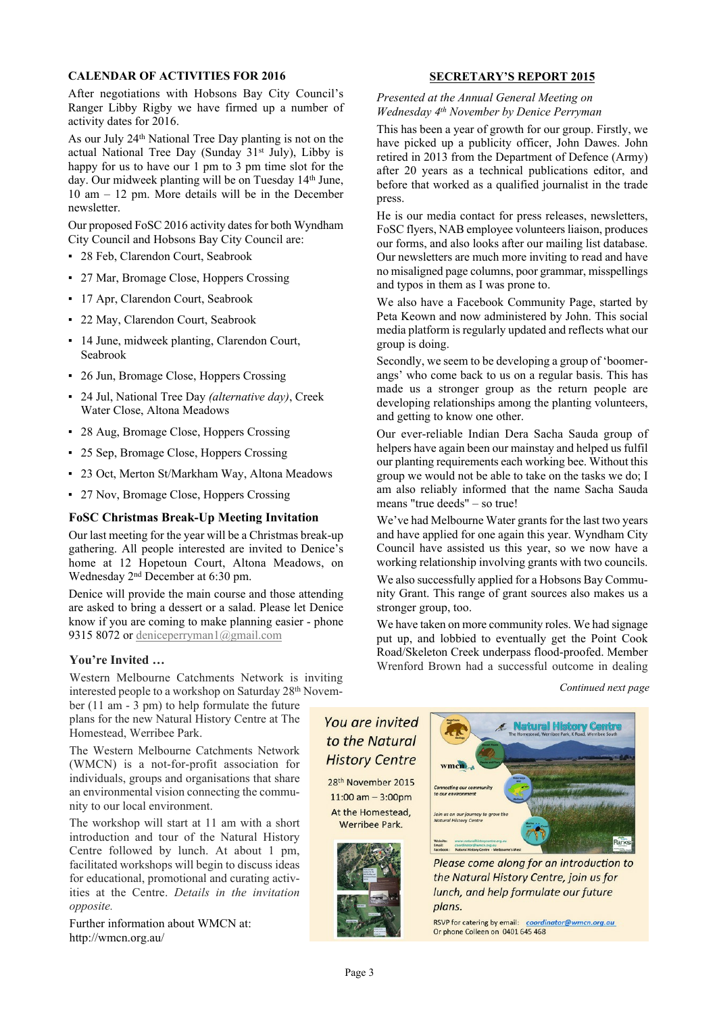#### **CALENDAR OF ACTIVITIES FOR 2016**

After negotiations with Hobsons Bay City Council's Ranger Libby Rigby we have firmed up a number of activity dates for 2016.

As our July 24th National Tree Day planting is not on the actual National Tree Day (Sunday 31<sup>st</sup> July), Libby is happy for us to have our 1 pm to 3 pm time slot for the day. Our midweek planting will be on Tuesday 14<sup>th</sup> June, 10 am – 12 pm. More details will be in the December newsletter.

Our proposed FoSC 2016 activity dates for both Wyndham City Council and Hobsons Bay City Council are:

- 28 Feb, Clarendon Court, Seabrook
- 27 Mar, Bromage Close, Hoppers Crossing
- 17 Apr, Clarendon Court, Seabrook
- 22 May, Clarendon Court, Seabrook
- 14 June, midweek planting, Clarendon Court, Seabrook
- 26 Jun, Bromage Close, Hoppers Crossing
- 24 Jul, National Tree Day *(alternative day)*, Creek Water Close, Altona Meadows
- 28 Aug, Bromage Close, Hoppers Crossing
- 25 Sep, Bromage Close, Hoppers Crossing
- 23 Oct, Merton St/Markham Way, Altona Meadows
- 27 Nov, Bromage Close, Hoppers Crossing

#### **FoSC Christmas Break-Up Meeting Invitation**

Our last meeting for the year will be a Christmas break-up gathering. All people interested are invited to Denice's home at 12 Hopetoun Court, Altona Meadows, on Wednesday 2nd December at 6:30 pm.

Denice will provide the main course and those attending are asked to bring a dessert or a salad. Please let Denice know if you are coming to make planning easier - phone 9315 8072 or [deniceperryman1@gmail.com](mailto:deniceperryman1@gmail.com)

#### **You're Invited …**

Western Melbourne Catchments Network is inviting interested people to a workshop on Saturday 28<sup>th</sup> Novem-

ber (11 am - 3 pm) to help formulate the future plans for the new Natural History Centre at The Homestead, Werribee Park.

The Western Melbourne Catchments Network (WMCN) is a not-for-profit association for individuals, groups and organisations that share an environmental vision connecting the community to our local environment.

The workshop will start at 11 am with a short introduction and tour of the Natural History Centre followed by lunch. At about 1 pm, facilitated workshops will begin to discuss ideas for educational, promotional and curating activities at the Centre. *Details in the invitation opposite.*

Further information about WMCN at: http://wmcn.org.au/

#### **SECRETARY'S REPORT 2015**

*Presented at the Annual General Meeting on Wednesday 4th November by Denice Perryman*

This has been a year of growth for our group. Firstly, we have picked up a publicity officer, John Dawes. John retired in 2013 from the Department of Defence (Army) after 20 years as a technical publications editor, and before that worked as a qualified journalist in the trade press.

He is our media contact for press releases, newsletters, FoSC flyers, NAB employee volunteers liaison, produces our forms, and also looks after our mailing list database. Our newsletters are much more inviting to read and have no misaligned page columns, poor grammar, misspellings and typos in them as I was prone to.

We also have a Facebook Community Page, started by Peta Keown and now administered by John. This social media platform is regularly updated and reflects what our group is doing.

Secondly, we seem to be developing a group of 'boomerangs' who come back to us on a regular basis. This has made us a stronger group as the return people are developing relationships among the planting volunteers, and getting to know one other.

Our ever-reliable Indian Dera Sacha Sauda group of helpers have again been our mainstay and helped us fulfil our planting requirements each working bee. Without this group we would not be able to take on the tasks we do; I am also reliably informed that the name Sacha Sauda means "true deeds" – so true!

We've had Melbourne Water grants for the last two years and have applied for one again this year. Wyndham City Council have assisted us this year, so we now have a working relationship involving grants with two councils.

We also successfully applied for a Hobsons Bay Community Grant. This range of grant sources also makes us a stronger group, too.

We have taken on more community roles. We had signage put up, and lobbied to eventually get the Point Cook Road/Skeleton Creek underpass flood-proofed. Member Wrenford Brown had a successful outcome in dealing

#### *Continued next page*

# You are invited to the Natural **History Centre**

28<sup>th</sup> November 2015  $11:00$  am  $-3:00$ pm At the Homestead. Werribee Park.





Please come along for an introduction to the Natural History Centre, join us for lunch, and help formulate our future plans.

RSVP for catering by email: coordinator@wmcn.org.au Or phone Colleen on 0401 645 468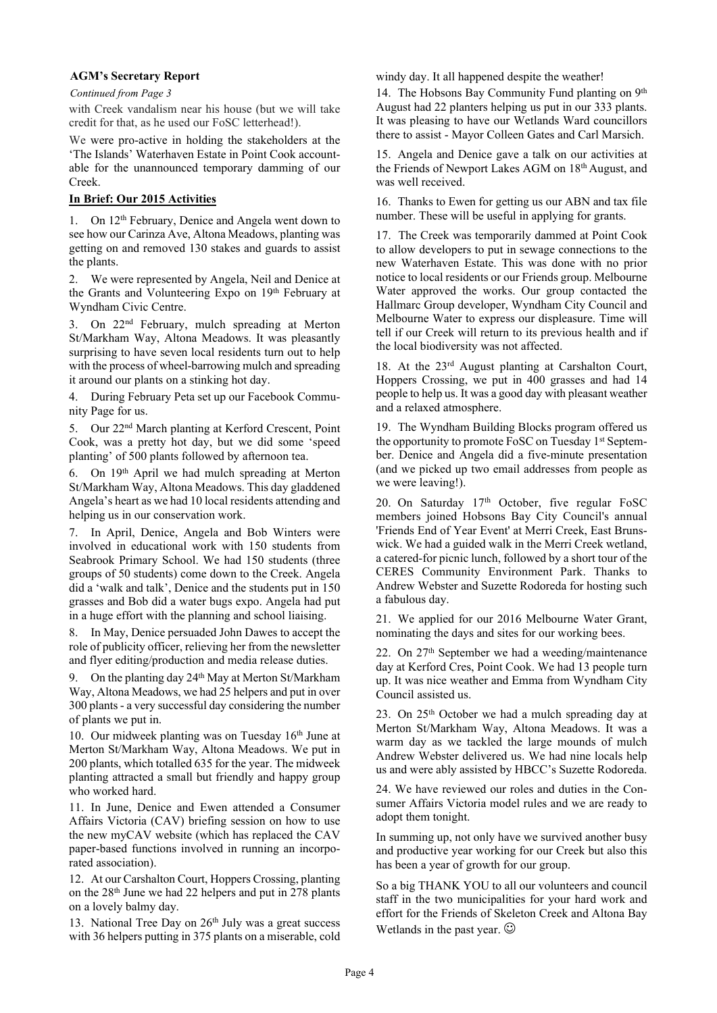#### **AGM's Secretary Report**

#### *Continued from Page 3*

with Creek vandalism near his house (but we will take credit for that, as he used our FoSC letterhead!).

We were pro-active in holding the stakeholders at the 'The Islands' Waterhaven Estate in Point Cook accountable for the unannounced temporary damming of our Creek.

#### **In Brief: Our 2015 Activities**

1. On 12<sup>th</sup> February, Denice and Angela went down to see how our Carinza Ave, Altona Meadows, planting was getting on and removed 130 stakes and guards to assist the plants.

2. We were represented by Angela, Neil and Denice at the Grants and Volunteering Expo on 19th February at Wyndham Civic Centre.

3. On 22nd February, mulch spreading at Merton St/Markham Way, Altona Meadows. It was pleasantly surprising to have seven local residents turn out to help with the process of wheel-barrowing mulch and spreading it around our plants on a stinking hot day.

4. During February Peta set up our Facebook Community Page for us.

5. Our 22nd March planting at Kerford Crescent, Point Cook, was a pretty hot day, but we did some 'speed planting' of 500 plants followed by afternoon tea.

6. On 19th April we had mulch spreading at Merton St/Markham Way, Altona Meadows. This day gladdened Angela's heart as we had 10 local residents attending and helping us in our conservation work.

7. In April, Denice, Angela and Bob Winters were involved in educational work with 150 students from Seabrook Primary School. We had 150 students (three groups of 50 students) come down to the Creek. Angela did a 'walk and talk', Denice and the students put in 150 grasses and Bob did a water bugs expo. Angela had put in a huge effort with the planning and school liaising.

8. In May, Denice persuaded John Dawes to accept the role of publicity officer, relieving her from the newsletter and flyer editing/production and media release duties.

9. On the planting day 24<sup>th</sup> May at Merton St/Markham Way, Altona Meadows, we had 25 helpers and put in over 300 plants - a very successful day considering the number of plants we put in.

10. Our midweek planting was on Tuesday  $16<sup>th</sup>$  June at Merton St/Markham Way, Altona Meadows. We put in 200 plants, which totalled 635 for the year. The midweek planting attracted a small but friendly and happy group who worked hard.

11. In June, Denice and Ewen attended a Consumer Affairs Victoria (CAV) briefing session on how to use the new myCAV website (which has replaced the CAV paper-based functions involved in running an incorporated association).

12. At our Carshalton Court, Hoppers Crossing, planting on the 28th June we had 22 helpers and put in 278 plants on a lovely balmy day.

13. National Tree Day on 26<sup>th</sup> July was a great success with 36 helpers putting in 375 plants on a miserable, cold windy day. It all happened despite the weather!

14. The Hobsons Bay Community Fund planting on 9th August had 22 planters helping us put in our 333 plants. It was pleasing to have our Wetlands Ward councillors there to assist - Mayor Colleen Gates and Carl Marsich.

15. Angela and Denice gave a talk on our activities at the Friends of Newport Lakes AGM on 18th August, and was well received.

16. Thanks to Ewen for getting us our ABN and tax file number. These will be useful in applying for grants.

17. The Creek was temporarily dammed at Point Cook to allow developers to put in sewage connections to the new Waterhaven Estate. This was done with no prior notice to local residents or our Friends group. Melbourne Water approved the works. Our group contacted the Hallmarc Group developer, Wyndham City Council and Melbourne Water to express our displeasure. Time will tell if our Creek will return to its previous health and if the local biodiversity was not affected.

18. At the 23rd August planting at Carshalton Court, Hoppers Crossing, we put in 400 grasses and had 14 people to help us. It was a good day with pleasant weather and a relaxed atmosphere.

19. The Wyndham Building Blocks program offered us the opportunity to promote FoSC on Tuesday 1st September. Denice and Angela did a five-minute presentation (and we picked up two email addresses from people as we were leaving!).

20. On Saturday 17th October, five regular FoSC members joined Hobsons Bay City Council's annual 'Friends End of Year Event' at Merri Creek, East Brunswick. We had a guided walk in the Merri Creek wetland, a catered-for picnic lunch, followed by a short tour of the CERES Community Environment Park. Thanks to Andrew Webster and Suzette Rodoreda for hosting such a fabulous day.

21. We applied for our 2016 Melbourne Water Grant, nominating the days and sites for our working bees.

22. On 27th September we had a weeding/maintenance day at Kerford Cres, Point Cook. We had 13 people turn up. It was nice weather and Emma from Wyndham City Council assisted us.

23. On 25th October we had a mulch spreading day at Merton St/Markham Way, Altona Meadows. It was a warm day as we tackled the large mounds of mulch Andrew Webster delivered us. We had nine locals help us and were ably assisted by HBCC's Suzette Rodoreda.

24. We have reviewed our roles and duties in the Consumer Affairs Victoria model rules and we are ready to adopt them tonight.

In summing up, not only have we survived another busy and productive year working for our Creek but also this has been a year of growth for our group.

So a big THANK YOU to all our volunteers and council staff in the two municipalities for your hard work and effort for the Friends of Skeleton Creek and Altona Bay Wetlands in the past year.  $\odot$